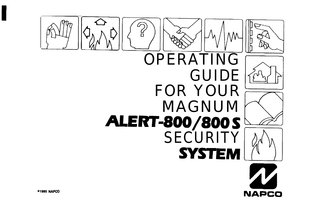

**NAPCO**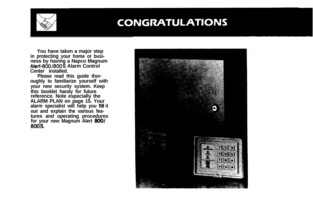

# **CONGRATULATIONS**

**You have taken a major step in protecting your home or business by having a Napco Magnum Alert-800/800S Alarm Control Center installed.**

**Please read this guide thoroughly to familiarize yourself with your new security system. Keep this booklet handy for future reference. Note especially the ALARM PLAN on page 15. Your alarm specialist will help you fiH it out and explain the various features and operating procedures for your new Magnum Alert SOW 800s.**

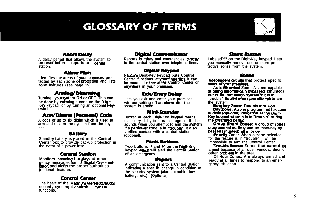# **GLOSSARY OF TERMS**



#### **Abort Delay**

**A delay period that allows the system to be reset before it reports to a cantml station.**

#### **AlmmPlmn**

Identifies the areas of your premises pro**tected by each zone or protection and lists zone features (see page 15).**

#### Armina/Disarmina

**Turning yoursystern ON or OFF. This can** be done by entering a code on the Digit-Key keypad, or by turning an optional key $sw$ *K***ch.** 

#### **Arm/Disarm (Personal) Code**

**A code of up to six digits which is used to arm and disarm the system from the keypad.**

#### **Battery**

**Standb battery is laced in the Control Center box to provide backup protection in the event of a power lose.**

#### **Contral Station**

**Monitors incoming burgla yand emergency messages from a Digital Communicator, and alerts the proper authorities (optional feature).**

#### **Control Center**

**The heart of the Maanum Alert-800/800!3 security system; it Gntrols all system functions.**

#### **Digital Communicator**

**Reports burglary and emergencies directty to the central station over telephone lines.**

#### **Digital Keypad**

**Napco's Digit-Key keypad puts Control Center functions at be mounted** either**<sup>a</sup>Y r fingertipa It can** be mounted either at the Control Center or **anywhere in your premises.**

#### **Exit/Entry Delay**

**Lets you exit and enter your premises without setting off an alarm after the system is armed.**

#### Mb+i-Sournder

**Buzzer at each Digit-Key keypad warns that entry delay time is In progress. It also** sounds when you attempt to arm the systern if a **particular** zone is in "trouble". It also verifies contact with a central station **(optional).**

#### **Panic Buttons**

Two buttons (\* and \*) on the Digit-Key **keypad which will alert the Central Station of an emergency.**

#### Report

**A communication sent to a Central Station indicating a specific change in condition of the security system (alarm, trouble, low battery, etc.). (Optlonai)**

#### Shunt Button

**Labeled%" on the Digit-Key keypad. Lets you manually remove one or more pro-tective zones from the system.**

#### Zones

Independent circuits that protect specific **areas of**

Auto **Bhunted** Zone: A zone capable of being automatically bypassed (shunted) out of the protection system it it is in "trouble" (faulty) when you attempt to arm **the system.**

Day Zone: A zone programmed to cause audible (optional) indication at the Digit-Key keypad when it is in "trouble" during the disarmed period.

Group Shunt Zones: A group of zones programmed so they can be manually bypassed (shunted) all at once.

**Priority** Zone: When a zone selected **for the feature is in "trouble" tt will be impossible to arm the Control Center.**

**Troubfe Zones: Zones that cannot bs armed because of an open window, door or other ombfem in the area**

**24 Hour Zones: Are always armed and ready at all times to respond to an emergency situation.**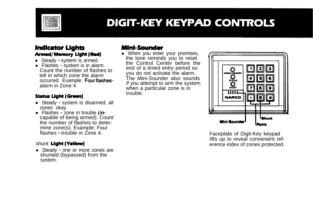

# **DIGIT-KEY KEYPAD CONTROLS**

### **Indicator Lights** Armed/Memory Light (Red)

- Steady system is armed.
- Flashes system is in alarm. Count the number of flashes to tell in which zone the alarm occurred. Example: Fourflashesalarm in Zone 4.

#### **Status Light (Green)**

- Steady system is disarmed, all zones okay.
- $\bullet$  Flashes  $\cdot$  zone in trouble (incapable of being armed). Count the number of flashes to determine zone(s). Example: Four flashes - trouble in Zone 4.

### shunt Light (Yellow)

• Steady • one or more zones are shunted (bypassed) from the system.

## Mini-Sounder

• When you enter your premises, the toné reminds you to reset the Control Center before the end of a timed entry period so you do not activate the alarm. The Mini-Sounder also sounds if you attempt to arm the system when a particular zone is in trouble.



Faceplate of Digit-Key keypad lifts up to reveal convenient reference index of zones protected.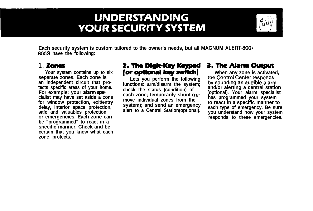# **UNDERSTANDING YOUR SECURITY SYSTEM**



**Each security system is custom tailored to the owner's needs, but all MAGNUM ALERT-800/ 800s have the following:**

**separate zones. Each zone is For example: your afarm spe**delay, interior space protection, alert to a Central Station(optional). safe and valuables protection and the safe and valuables protection and the safe of the set of these emergencies.<br>The can be a statement or emergencies. Each zone can **be "programmed" to react in a specific manner. Check and be certain that you know what each zone protects.**

# 1. Zones 2. The Digit-Key Keypad 3. The Aiarm Output

an independent circuit that pro-<br> **Example 1998** Final and increase the system: by sounding an audible alarm tects specific areas of your home.<br>For example: your alarm specific areas of the station of the station of and/or alerting a central station for example: your alarm specialist **cialist may have set aside a zone**<br>**cialist may have set aside a zone each zone;** temporarily shunt (re-<br>**for window protection, exit/entry** and a special structure and a specific manner to move individual zones from the for window protection, exitently system); and send an emergency to react in a specific manner to delay, interior space protection,

**Your system contains up to six for optional key switch}** When any zone is activated,<br>parate zones. Each zone is Lets you perform the following the Control Center responds  $r$  esponds to these emergencies.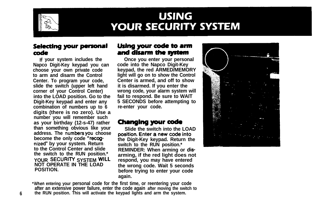

# **USING YOUR SECURITY SYSTEM**

### Selecting your personal code

**Napco Digit-Key keypad you can choose your own private code Center. To program your code, Center is armed, and off to show** slide the switch (upper left hand corner of your Control Center) **Digit-Key keypad and enter any 5 SECONDS before combination of numbers up to 6 are re-enter vour code.** combination of numbers up to 6 **digits (there is no zero). Use a number you will remember such** as your birthday (12-s-47) rather<br>than something obvious like your<br>Slide the switch into the LOAD than something obvious like your Slide the switch into the LOA address. The numbers you choose position. Enter a new code into address. The numbers you choose become the only code "recog**nized" by your system. Return to the Control Center and slide the switch to the RUN position.\* YOUR SECURITY SYSTEM WILL respond, you may have entered**

### Using your code to arm and disarm the system

**If your system includes the Once you enter your personal choose your own private code keypad, the red ARMED/MEMORY light will go on to show the Control Center is armed, and off to show** wrong code, your alarm system will<br>fail to respond. Be sure to WAIT **into the LOAD position. Go to the fail to respond. Be sure to WAIT**

**become the only code "recog- the Digit-Key keypad. Return the switch to the RUN position.\* REMINDER: When arming or disarming, if the red light does not NOT OPERATE IN THE LOAD the wrong code. Wait 5 seconds before trying to enter your code again.**



**'When entering your personal code for the first time, or reentering your code after an extensive power failure, enter the code again after moving the switch to 6 the RUN position. This will activate the keypad lights and arm the system.**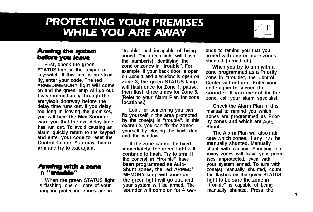# **PROTECTING YOUR PREMISES WHILE YOU ARE AWAY**



### **Arming the system** before you leave

**First, check the green STATUS light at the keypad or keyswitch. If this light is on steadily, enter your code. The red ARMED/MEMORY light will come on and the green lamp will go out. Leave immediately through the entry/exit doorway before the delay time runs out. If you delay too long in leaving the premises, you will hear the Mini-Sounder warn you that the exit delay time has run out. To avoid causing an alarm, quickly return to the keypad and enter your code to reset the Control Center. You may then rearm and try to exit again.**

### Arming with a zone In "trouble"

**When the green STATUS light is flashing, one or more of your burglary protection zones are in**

**"trouble" and incapable of being armed. The green light will flash the number(s) identifying the zone or zones in "trouble". For example, if your back door is open on Zone 1 and a window is open on Zone 3, the green STATUS lamp will flash once for Zone 1, pause, then flash three times for Zone 3. (Refer to your Alarm Plan for zone locations.)**

**Look for something you can fix yourself in the area protected by the zone(s) in "trouble". In this example, you can fix the zones yourself by closing the back door and the window.**

**If the zone cannot be fixed immediately, the green light will continue to flash. Try to arm. If the zone(s) in "trouble" have been programmed as Auto-Shunt zones, the red ARMED/ MEMORY lamp will come on, the green light will go out, and your system will be armed. The sounder will come on for 4 sec-** **onds to remind you that you** armed with one or more zones **shunted (turned off).**

**When you try to arm with a zone programmed as a Priority Zone in "trouble", the Control Center will not arm. Enter your code again to silence the sounder. If you cannot fix the zone, call your alarm specialist.**

**Check the Alarm Plan in this manual to remind you which zones are programmed as Priority zones and which are Auto-Shunt.**

**The Alarm Plan will also indi**cate which zones, if any, can be **manually shunted. Manually shunt with caution. Shunting too many zones will leave your premises unprotected, even with your system armed. To arm with zone(s) manually shunted, count the flashes on the green STATUS light to be sure the zone in "trouble" is capable of being manually shunted. Press the**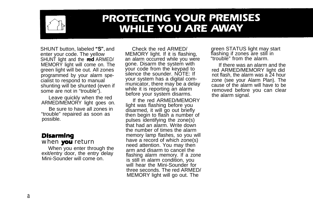

# **PROTECTING YOUR PREMISES WHILE YOU ARE AWAY**

SHUNT button, labeled "S", and enter your code. The yellow SHUNT light and the **red** ARMED/ MEMORY light will come on. The green light will be out. All zones programmed by your alarm specialist to respond to manual shunting will be shunted (even if some are not in "trouble").

Leave quickly when the red ARMED/MEMORY light goes on.

Be sure to have all zones in "trouble" repaired as soon as possible.

## Disarming

#### when **you** return

When you enter through the exit/entry door, the entry delay Mini-Sounder will come on.

Check the red ARMED/ MEMORY light. If it is flashing, an alarm occurred while you were gone. Disarm the system with your code from the keypad to silence the sounder. NOTE: If your system has a digital communicator, there may be a delay while it is reporting an alarm before your system disarms.

If the red ARMED/MEMORY light was flashing before you disarmed, it will go out briefly then begin to flash a number of pulses identifying the zone(s) that had an alarm. Write down the number of times the alarm memory lamp flashes, so you will have a record of which zone(s) need attention. You may then arm and disarm to cancel the flashing alarm memory. If a zone is still in alarm condition, you will hear the Mini-Sounder for three seconds. The red ARMED/ MEMORY light will go out. The

green STATUS light may start flashing if zones are still in "trouble" from the alarm.

If there was an alarm and the red ARMED/MEMORY light did not flash, the alarm was a 24 hour zone (see your Alarm Plan). The cause of the alarm will have to be removed before you can clear the alarm signal.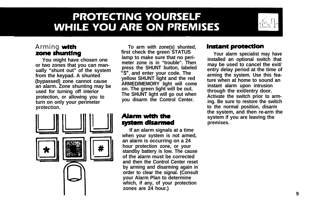# **PROTECTING YOURSELF WHILE YOU ARE ON PREMISES**



### Arming **with** zone shunting

**You might have chosen one or two zones that you can manually "shunt out" of the system from the keypad. A shunted (bypassed) zone cannot cause an alarm. Zone shunting may be used for turning off interior protection, or allowing you to turn on only your perimeter protection.**



**To arm with zone(s) shunted,** first check the green STATUS **lamp to make sure that no perimeter zone is in "trouble". Then press the SHUNT button, labeled "S", and enter your code. The yellow SHUNT light and the red ARMED/MEMORY light will come on. The green light will be out. The SHUNT light will go out when you disarm the Control Center.**

### Alarm with the systam dlsarmed

**If an alarm signals at a time when your system is not armed, an alarm is occurring on a 24 hour protection zone, or your standby battery is low. The cause of the alarm must be corrected and then the Control Center reset by arming and disarming again in order to clear the signal. (Consult your Alarm Plan to determine which, if any, of your protection zones are 24 hour.)**

# **Instant protection**

**Your alarm specialist may have installed an optional switch that may be used to cancel the exit/ entry delay period at the time of arming the system. Use this feature when at home to sound an instant alarm upon intrusion through the exit/entry door. Activate the switch prior to arming. Be sure to restore the switch to the normal position, disarm the system, and then re-arm the system if you are leaving the premises.**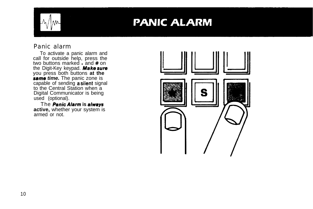

# **PANIC ALARM**

### Panic alarm

To activate a panic alarm and call for outside help, press the two buttons marked  $\cdot$  and # on the Digit-Key keypad. **Make sure** you press both buttons **at the s8me** *time.* The panic zone is capable of sending **a silent** signal to the Central Station when a Digital Communicator is being used (optional).

The *Penic* **Ai8rm is always active,** whether your system is armed or not.

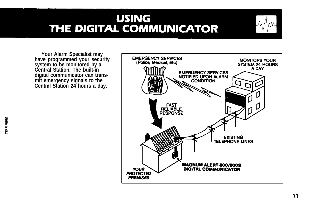# **USING** THE DIGITAL COMMUNICATOR

**Your Alarm Specialist may have programmed your security system to be monitored by a Central Station. The built-in digital communicator can transmit emergency signals to the Centml Station 24 hours a day.**

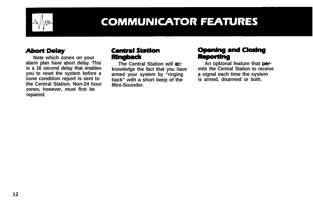

# **COMMUNICATOR FEATURES**

## **Abort Delay**

**Note which zones on your alarm plan have abort delay. This is a 16 second delay that enables you to reset the system before a zone condition report is sent to the Central Station. Non-24 hour zones, however, must first be repaired.**

# **Central Station**

**Ringback**<br>The Central Station will ac**knowledge the fact that you have discuss in the Central Station to receivanced vour system by "ringing a signal each time the system armed your system by "ringing a signal each time the system** back" with a short beep of the **Mini-Sounder.**

## **Opening and Closing Reporting**

An optional feature that per-<br>mits the Central Station to receive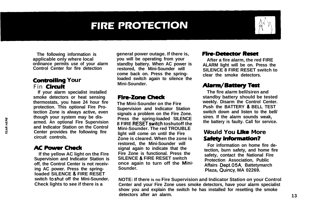# **FIRE PROTECTION**

**The following information is applicable only where local ordinance permits use of your alarm Control Center for fire detection**

### **Controlling Your** Fin **Circuit**

**If your alarm specialist installed smoke detectors or heat sensing thermostats, you have 24 hour fire protection. This optional Fire Protection Zone is always active, even though your system may be disarmed. An optional Fire Supervision and Indicator Station on the Control Center provides the following fire circuit controls.**

### **AC Power Check**

**If the yellow AC light on the Fire Supervision and Indicator Station is off, the Control Center is not receiving AC power. Press the springloaded SILENCE 8. FIRE RESET switch toshut off the Mini-Sounder. Check lights to see if there is a**

**general power outage. If there is, you will be operating from your standby battery. When AC power is restored, the Mini-Sounder will come back on. Press the springloaded switch again to silence the Mini-Sounder.**

## Fire-zone check

**The Mini-Sounder on the Fire Supervision and Indicator Station signals a problem on the Fire Zone. Press the spring-loaded SILENCE 8 FIRE RESETswitch toshutoff the Mini-Sounder. The red TROUBLE light will come on until the Fire Zone is cleared. When the zone is restored, the Mini-Sounder will signal again to indicate that the Fire Zone is functional. Press the SILENCE 8 FIRE RESET switch once again to turn off the Mini-Sounder.**

### **Fire-Detector Reset**

**After a fire alarm, the red FIRE ALARM light will be on. Press the SILENCE 8 FIRE RESET switch to clear the smoke detectors.**

## **Alarm/Battery Test**

**The fire alarm bell/siren and standby battery should be tested weekly. Disarm the Control Center. Push the BATTERY a BELL TEST switch down and listen to the bell/ siren. If the alarm sounds weak, the battery is faulty. Call for service.**

#### **Would You Uke More Safety Information?**

**For information on home fire detection, burn safety, and home fire safety, contact the National Fire Protection Association, Public Affairs Dept.O5A, Battetymarch Plaza, Quincy, MA 02269.**

**NOTE: If there is no Fire Supervision and Indicator Station on your Control Center and your Fire Zone uses smoke detectors, have your alarm specialist show you and explain the switch he has installed for resetting the smoke** detectors after an alarm. **13**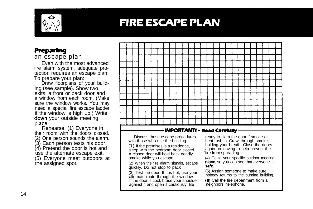

# **FIRE ESCAPE PLAN**

### **Preparing**

an escape plan

Even with the most advanced fire alarm system, adequate protection requires an escape plan. To prepare your plan:

Draw floorplans of your building (see sample). Show two exits: a front or back door and a window from each room. (Make sure the window works. You may need a special fire escape ladder if the window is high up.) Write down your outside meeting place

Rehearse: (1) Everyone in their room with the doors closed. (2) One person sounds the alarm. (3) Each person tests his door. (4) Pretend the door is hot and use the alternate escape exit. (5) Everyone meet outdoors at the assigned spot.

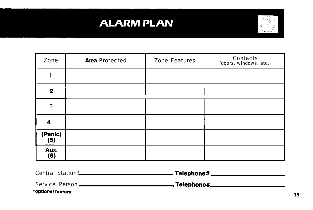# **ALARM PLAN**



| Zone           | Area Protected | Zone Features | Contacts<br>(doors, windows, etc.) |
|----------------|----------------|---------------|------------------------------------|
|                |                |               |                                    |
| $\mathbf{2}$   |                |               |                                    |
| 3              |                |               |                                    |
| 4              |                |               |                                    |
| (Panic)<br>(5) |                |               |                                    |
| Aux.<br>(6)    |                |               |                                    |

| Central Station?  | .Telephone#   |  |
|-------------------|---------------|--|
| Service Person -  | _ Telephone#_ |  |
| *optional feature |               |  |